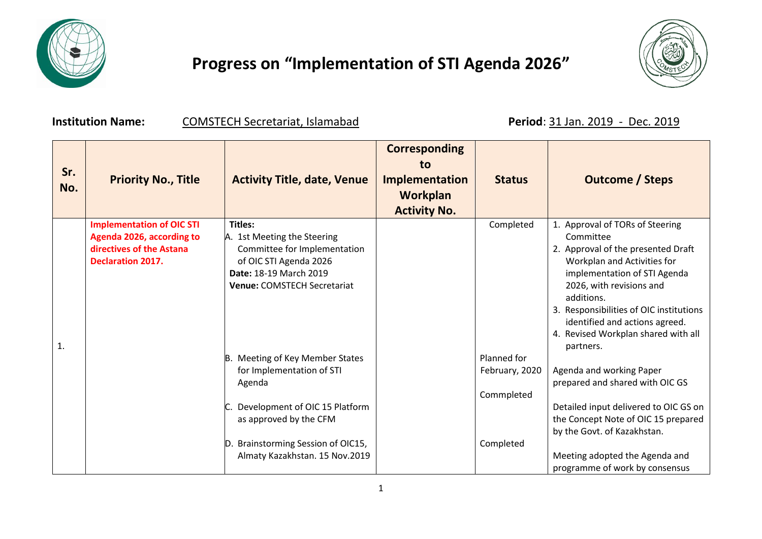

## **Progress on "Implementation of STI Agenda 2026"**



**Institution Name: COMSTECH Secretariat, Islamabad Period**: 31 Jan. 2019 - Dec. 2019

| Sr.<br>No.   | <b>Priority No., Title</b>                                                                                            | <b>Activity Title, date, Venue</b>                                                                                                                                                                         | <b>Corresponding</b><br>to<br><b>Implementation</b><br>Workplan | <b>Status</b>                                            | <b>Outcome / Steps</b>                                                                                                                                                                                                                                                                                                       |
|--------------|-----------------------------------------------------------------------------------------------------------------------|------------------------------------------------------------------------------------------------------------------------------------------------------------------------------------------------------------|-----------------------------------------------------------------|----------------------------------------------------------|------------------------------------------------------------------------------------------------------------------------------------------------------------------------------------------------------------------------------------------------------------------------------------------------------------------------------|
|              |                                                                                                                       |                                                                                                                                                                                                            | <b>Activity No.</b>                                             |                                                          |                                                                                                                                                                                                                                                                                                                              |
| $\mathbf{1}$ | <b>Implementation of OIC STI</b><br>Agenda 2026, according to<br>directives of the Astana<br><b>Declaration 2017.</b> | <b>Titles:</b><br>A. 1st Meeting the Steering<br>Committee for Implementation<br>of OIC STI Agenda 2026<br>Date: 18-19 March 2019<br>Venue: COMSTECH Secretariat                                           |                                                                 | Completed                                                | 1. Approval of TORs of Steering<br>Committee<br>2. Approval of the presented Draft<br>Workplan and Activities for<br>implementation of STI Agenda<br>2026, with revisions and<br>additions.<br>3. Responsibilities of OIC institutions<br>identified and actions agreed.<br>4. Revised Workplan shared with all<br>partners. |
|              |                                                                                                                       | B. Meeting of Key Member States<br>for Implementation of STI<br>Agenda<br>Development of OIC 15 Platform<br>as approved by the CFM<br>D. Brainstorming Session of OIC15,<br>Almaty Kazakhstan. 15 Nov.2019 |                                                                 | Planned for<br>February, 2020<br>Commpleted<br>Completed | Agenda and working Paper<br>prepared and shared with OIC GS<br>Detailed input delivered to OIC GS on<br>the Concept Note of OIC 15 prepared<br>by the Govt. of Kazakhstan.<br>Meeting adopted the Agenda and                                                                                                                 |
|              |                                                                                                                       |                                                                                                                                                                                                            |                                                                 |                                                          | programme of work by consensus                                                                                                                                                                                                                                                                                               |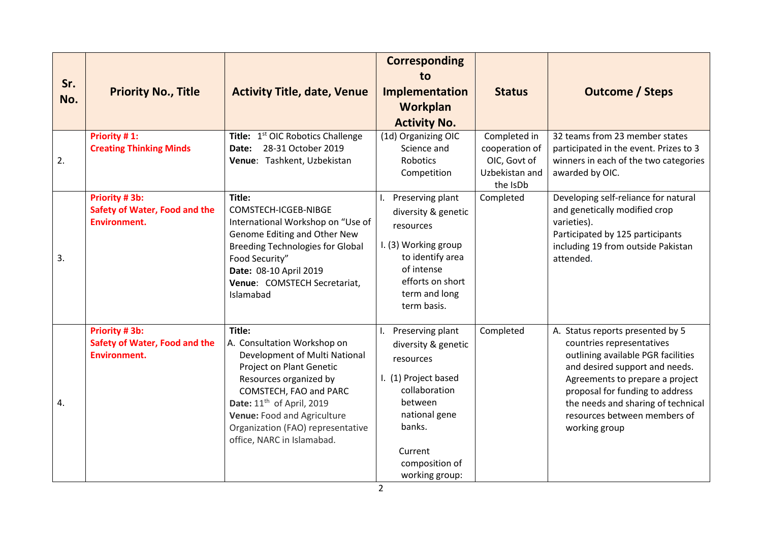| Sr.<br>No. | <b>Priority No., Title</b>                                                   | <b>Activity Title, date, Venue</b>                                                                                                                                                                                                                                                                | <b>Corresponding</b><br>to<br>Implementation<br>Workplan<br><b>Activity No.</b>                                                                                                    | <b>Status</b>                                                                | <b>Outcome / Steps</b>                                                                                                                                                                                                                                                                             |
|------------|------------------------------------------------------------------------------|---------------------------------------------------------------------------------------------------------------------------------------------------------------------------------------------------------------------------------------------------------------------------------------------------|------------------------------------------------------------------------------------------------------------------------------------------------------------------------------------|------------------------------------------------------------------------------|----------------------------------------------------------------------------------------------------------------------------------------------------------------------------------------------------------------------------------------------------------------------------------------------------|
| 2.         | Priority #1:<br><b>Creating Thinking Minds</b>                               | Title: 1 <sup>st</sup> OIC Robotics Challenge<br>28-31 October 2019<br>Date:<br>Venue: Tashkent, Uzbekistan                                                                                                                                                                                       | (1d) Organizing OIC<br>Science and<br><b>Robotics</b><br>Competition                                                                                                               | Completed in<br>cooperation of<br>OIC, Govt of<br>Uzbekistan and<br>the IsDb | 32 teams from 23 member states<br>participated in the event. Prizes to 3<br>winners in each of the two categories<br>awarded by OIC.                                                                                                                                                               |
| 3.         | Priority #3b:<br><b>Safety of Water, Food and the</b><br><b>Environment.</b> | Title:<br>COMSTECH-ICGEB-NIBGE<br>International Workshop on "Use of<br>Genome Editing and Other New<br><b>Breeding Technologies for Global</b><br>Food Security"<br>Date: 08-10 April 2019<br>Venue: COMSTECH Secretariat,<br>Islamabad                                                           | Preserving plant<br>diversity & genetic<br>resources<br>I. (3) Working group<br>to identify area<br>of intense<br>efforts on short<br>term and long<br>term basis.                 | Completed                                                                    | Developing self-reliance for natural<br>and genetically modified crop<br>varieties).<br>Participated by 125 participants<br>including 19 from outside Pakistan<br>attended.                                                                                                                        |
| 4.         | Priority #3b:<br><b>Safety of Water, Food and the</b><br><b>Environment.</b> | Title:<br>A. Consultation Workshop on<br>Development of Multi National<br>Project on Plant Genetic<br>Resources organized by<br>COMSTECH, FAO and PARC<br>Date: 11 <sup>th</sup> of April, 2019<br>Venue: Food and Agriculture<br>Organization (FAO) representative<br>office, NARC in Islamabad. | Preserving plant<br>diversity & genetic<br>resources<br>I. (1) Project based<br>collaboration<br>between<br>national gene<br>banks.<br>Current<br>composition of<br>working group: | Completed                                                                    | A. Status reports presented by 5<br>countries representatives<br>outlining available PGR facilities<br>and desired support and needs.<br>Agreements to prepare a project<br>proposal for funding to address<br>the needs and sharing of technical<br>resources between members of<br>working group |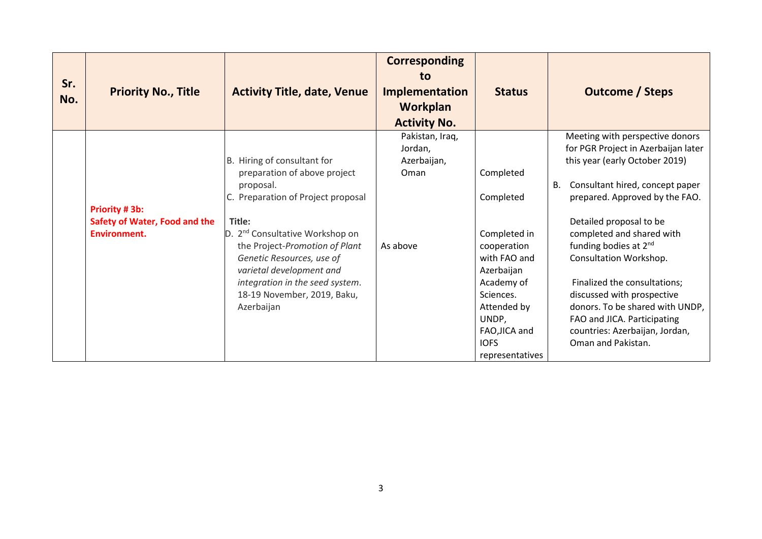| Sr.<br>No. | <b>Priority No., Title</b>                                             | <b>Activity Title, date, Venue</b>                                                                                                                                                                                                                                                                                                                 | <b>Corresponding</b><br>to<br><b>Implementation</b><br><b>Workplan</b><br><b>Activity No.</b> | <b>Status</b>                                                                                                                                                                             | <b>Outcome / Steps</b>                                                                                                                                                                                                                                                                                                                                                                                                                                                                             |
|------------|------------------------------------------------------------------------|----------------------------------------------------------------------------------------------------------------------------------------------------------------------------------------------------------------------------------------------------------------------------------------------------------------------------------------------------|-----------------------------------------------------------------------------------------------|-------------------------------------------------------------------------------------------------------------------------------------------------------------------------------------------|----------------------------------------------------------------------------------------------------------------------------------------------------------------------------------------------------------------------------------------------------------------------------------------------------------------------------------------------------------------------------------------------------------------------------------------------------------------------------------------------------|
|            | Priority # 3b:<br>Safety of Water, Food and the<br><b>Environment.</b> | B. Hiring of consultant for<br>preparation of above project<br>proposal.<br>C. Preparation of Project proposal<br>Title:<br>D. 2 <sup>nd</sup> Consultative Workshop on<br>the Project-Promotion of Plant<br>Genetic Resources, use of<br>varietal development and<br>integration in the seed system.<br>18-19 November, 2019, Baku,<br>Azerbaijan | Pakistan, Iraq,<br>Jordan,<br>Azerbaijan,<br>Oman<br>As above                                 | Completed<br>Completed<br>Completed in<br>cooperation<br>with FAO and<br>Azerbaijan<br>Academy of<br>Sciences.<br>Attended by<br>UNDP,<br>FAO, JICA and<br><b>IOFS</b><br>representatives | Meeting with perspective donors<br>for PGR Project in Azerbaijan later<br>this year (early October 2019)<br>Consultant hired, concept paper<br>В.<br>prepared. Approved by the FAO.<br>Detailed proposal to be<br>completed and shared with<br>funding bodies at 2 <sup>nd</sup><br>Consultation Workshop.<br>Finalized the consultations;<br>discussed with prospective<br>donors. To be shared with UNDP,<br>FAO and JICA. Participating<br>countries: Azerbaijan, Jordan,<br>Oman and Pakistan. |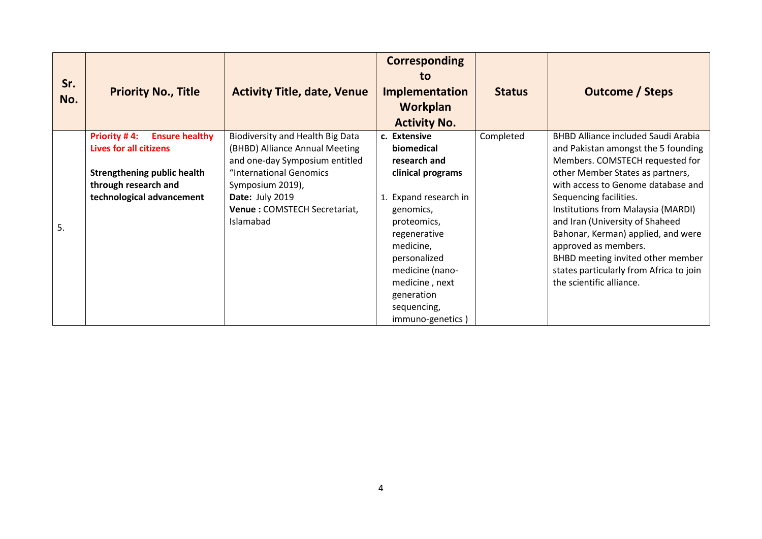| Sr.<br>No. | <b>Priority No., Title</b>                                                    | <b>Activity Title, date, Venue</b>                                            | <b>Corresponding</b><br>to<br><b>Implementation</b><br>Workplan<br><b>Activity No.</b>             | <b>Status</b> | <b>Outcome / Steps</b>                                                                                                                                        |
|------------|-------------------------------------------------------------------------------|-------------------------------------------------------------------------------|----------------------------------------------------------------------------------------------------|---------------|---------------------------------------------------------------------------------------------------------------------------------------------------------------|
|            | <b>Priority #4:</b><br><b>Ensure healthy</b><br><b>Lives for all citizens</b> | Biodiversity and Health Big Data<br>(BHBD) Alliance Annual Meeting            | c. Extensive<br>biomedical                                                                         | Completed     | <b>BHBD Alliance included Saudi Arabia</b><br>and Pakistan amongst the 5 founding                                                                             |
|            | <b>Strengthening public health</b><br>through research and                    | and one-day Symposium entitled<br>"International Genomics<br>Symposium 2019), | research and<br>clinical programs                                                                  |               | Members. COMSTECH requested for<br>other Member States as partners,<br>with access to Genome database and                                                     |
| 5.         | technological advancement                                                     | Date: July 2019<br>Venue: COMSTECH Secretariat,<br>Islamabad                  | Expand research in<br>genomics,<br>proteomics,<br>regenerative<br>medicine,                        |               | Sequencing facilities.<br>Institutions from Malaysia (MARDI)<br>and Iran (University of Shaheed<br>Bahonar, Kerman) applied, and were<br>approved as members. |
|            |                                                                               |                                                                               | personalized<br>medicine (nano-<br>medicine, next<br>generation<br>sequencing,<br>immuno-genetics) |               | BHBD meeting invited other member<br>states particularly from Africa to join<br>the scientific alliance.                                                      |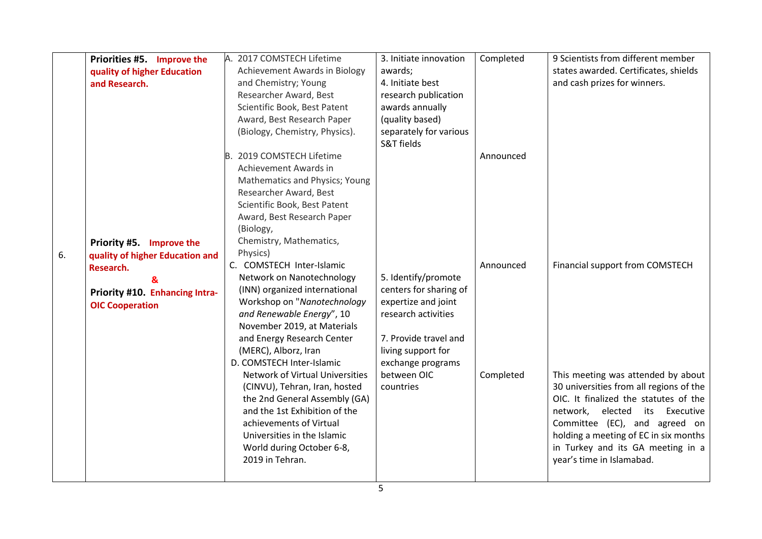|    | Priorities #5. Improve the<br>quality of higher Education<br>and Research. | A. 2017 COMSTECH Lifetime<br><b>Achievement Awards in Biology</b><br>and Chemistry; Young<br>Researcher Award, Best<br>Scientific Book, Best Patent<br>Award, Best Research Paper<br>(Biology, Chemistry, Physics).                                                   | 3. Initiate innovation<br>awards;<br>4. Initiate best<br>research publication<br>awards annually<br>(quality based)<br>separately for various<br>S&T fields     | Completed | 9 Scientists from different member<br>states awarded. Certificates, shields<br>and cash prizes for winners.                                                                                                                                                                                             |
|----|----------------------------------------------------------------------------|-----------------------------------------------------------------------------------------------------------------------------------------------------------------------------------------------------------------------------------------------------------------------|-----------------------------------------------------------------------------------------------------------------------------------------------------------------|-----------|---------------------------------------------------------------------------------------------------------------------------------------------------------------------------------------------------------------------------------------------------------------------------------------------------------|
| 6. | Priority #5. Improve the<br>quality of higher Education and                | B. 2019 COMSTECH Lifetime<br>Achievement Awards in<br>Mathematics and Physics; Young<br>Researcher Award, Best<br>Scientific Book, Best Patent<br>Award, Best Research Paper<br>(Biology,<br>Chemistry, Mathematics,<br>Physics)                                      |                                                                                                                                                                 | Announced |                                                                                                                                                                                                                                                                                                         |
|    | Research.<br>&<br>Priority #10. Enhancing Intra-<br><b>OIC Cooperation</b> | C. COMSTECH Inter-Islamic<br>Network on Nanotechnology<br>(INN) organized international<br>Workshop on "Nanotechnology<br>and Renewable Energy", 10<br>November 2019, at Materials<br>and Energy Research Center<br>(MERC), Alborz, Iran<br>D. COMSTECH Inter-Islamic | 5. Identify/promote<br>centers for sharing of<br>expertize and joint<br>research activities<br>7. Provide travel and<br>living support for<br>exchange programs | Announced | Financial support from COMSTECH                                                                                                                                                                                                                                                                         |
|    |                                                                            | <b>Network of Virtual Universities</b><br>(CINVU), Tehran, Iran, hosted<br>the 2nd General Assembly (GA)<br>and the 1st Exhibition of the<br>achievements of Virtual<br>Universities in the Islamic<br>World during October 6-8,<br>2019 in Tehran.                   | between OIC<br>countries                                                                                                                                        | Completed | This meeting was attended by about<br>30 universities from all regions of the<br>OIC. It finalized the statutes of the<br>network,<br>elected its Executive<br>Committee (EC), and agreed on<br>holding a meeting of EC in six months<br>in Turkey and its GA meeting in a<br>year's time in Islamabad. |